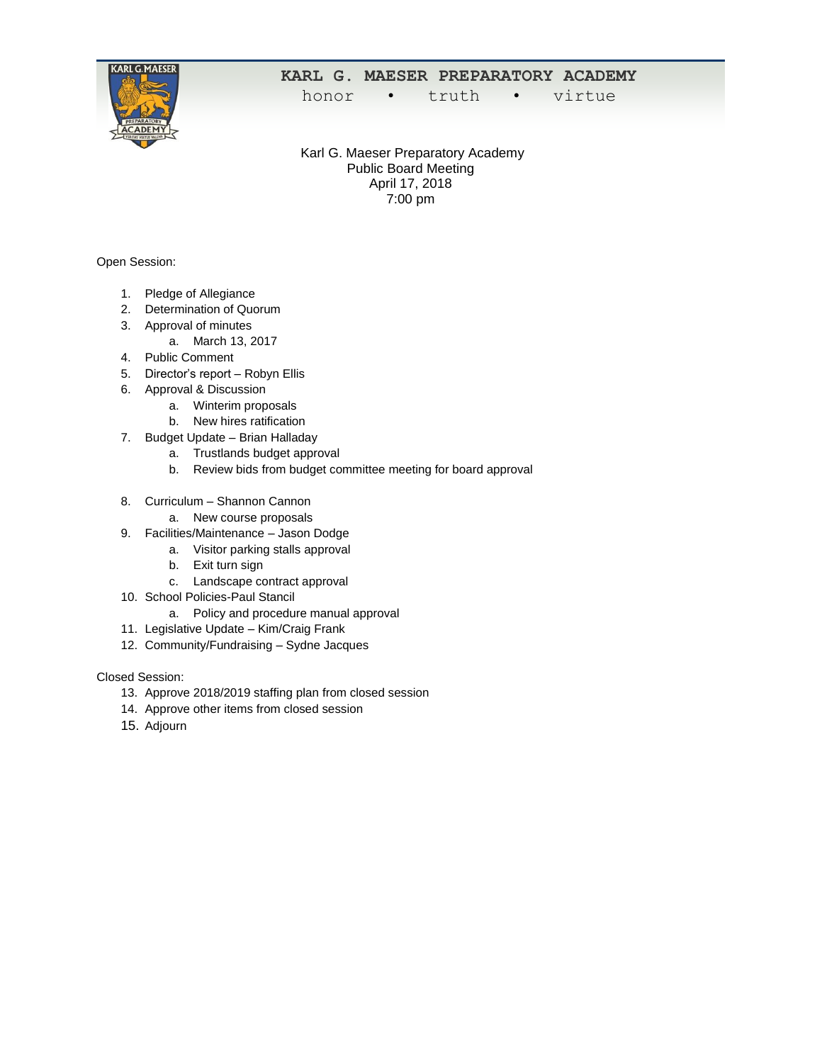

## **KARL G. MAESER PREPARATORY ACADEMY**

honor • truth • virtue

Karl G. Maeser Preparatory Academy Public Board Meeting April 17, 2018 7:00 pm

Open Session:

- 1. Pledge of Allegiance
- 2. Determination of Quorum
- 3. Approval of minutes
	- a. March 13, 2017
- 4. Public Comment
- 5. Director's report Robyn Ellis
- 6. Approval & Discussion
	- a. Winterim proposals
	- b. New hires ratification
- 7. Budget Update Brian Halladay
	- a. Trustlands budget approval
	- b. Review bids from budget committee meeting for board approval
- 8. Curriculum Shannon Cannon
	- a. New course proposals
- 9. Facilities/Maintenance Jason Dodge
	- a. Visitor parking stalls approval
		- b. Exit turn sign
		- c. Landscape contract approval
- 10. School Policies-Paul Stancil
	- a. Policy and procedure manual approval
- 11. Legislative Update Kim/Craig Frank
- 12. Community/Fundraising Sydne Jacques

Closed Session:

- 13. Approve 2018/2019 staffing plan from closed session
- 14. Approve other items from closed session
- 15. Adjourn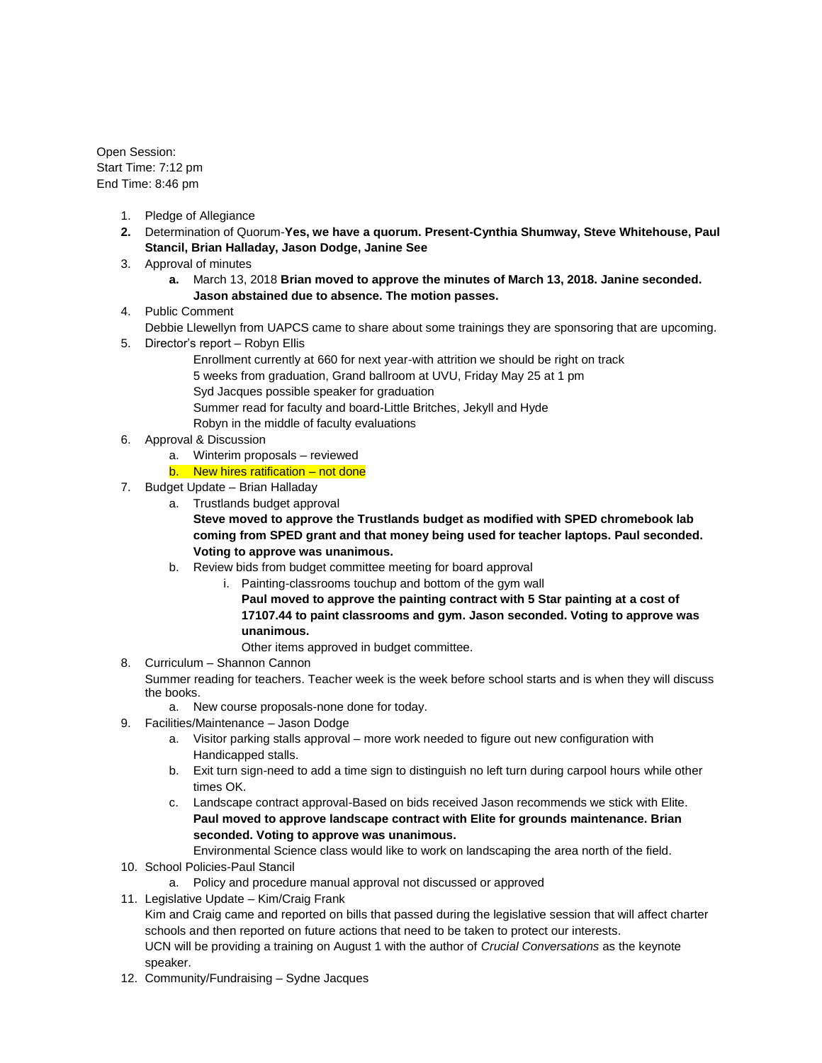Open Session: Start Time: 7:12 pm End Time: 8:46 pm

- 1. Pledge of Allegiance
- **2.** Determination of Quorum-**Yes, we have a quorum. Present-Cynthia Shumway, Steve Whitehouse, Paul Stancil, Brian Halladay, Jason Dodge, Janine See**
- 3. Approval of minutes
	- **a.** March 13, 2018 **Brian moved to approve the minutes of March 13, 2018. Janine seconded. Jason abstained due to absence. The motion passes.**
- 4. Public Comment
	- Debbie Llewellyn from UAPCS came to share about some trainings they are sponsoring that are upcoming.
- 5. Director's report Robyn Ellis
	- Enrollment currently at 660 for next year-with attrition we should be right on track
	- 5 weeks from graduation, Grand ballroom at UVU, Friday May 25 at 1 pm
	- Syd Jacques possible speaker for graduation
		- Summer read for faculty and board-Little Britches, Jekyll and Hyde
	- Robyn in the middle of faculty evaluations
- 6. Approval & Discussion
	- a. Winterim proposals reviewed
	- b. New hires ratification not done
- 7. Budget Update Brian Halladay
	- a. Trustlands budget approval

**Steve moved to approve the Trustlands budget as modified with SPED chromebook lab coming from SPED grant and that money being used for teacher laptops. Paul seconded. Voting to approve was unanimous.**

- b. Review bids from budget committee meeting for board approval
	- i. Painting-classrooms touchup and bottom of the gym wall
		- **Paul moved to approve the painting contract with 5 Star painting at a cost of 17107.44 to paint classrooms and gym. Jason seconded. Voting to approve was unanimous.**

Other items approved in budget committee.

- 8. Curriculum Shannon Cannon
	- Summer reading for teachers. Teacher week is the week before school starts and is when they will discuss the books.

a. New course proposals-none done for today.

- 9. Facilities/Maintenance Jason Dodge
	- a. Visitor parking stalls approval more work needed to figure out new configuration with Handicapped stalls.
	- b. Exit turn sign-need to add a time sign to distinguish no left turn during carpool hours while other times OK.
	- c. Landscape contract approval-Based on bids received Jason recommends we stick with Elite. **Paul moved to approve landscape contract with Elite for grounds maintenance. Brian seconded. Voting to approve was unanimous.**

Environmental Science class would like to work on landscaping the area north of the field.

- 10. School Policies-Paul Stancil
	- a. Policy and procedure manual approval not discussed or approved
- 11. Legislative Update Kim/Craig Frank

Kim and Craig came and reported on bills that passed during the legislative session that will affect charter schools and then reported on future actions that need to be taken to protect our interests. UCN will be providing a training on August 1 with the author of *Crucial Conversations* as the keynote speaker.

12. Community/Fundraising – Sydne Jacques